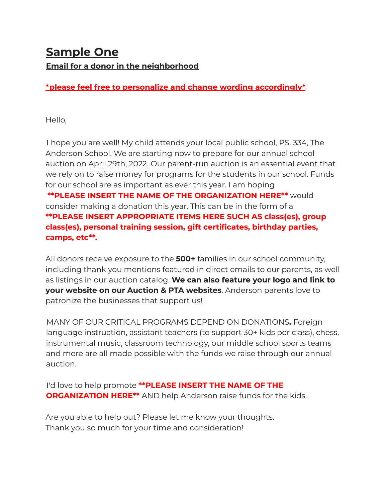## **Sample One Email for a donor in the neighborhood**

**\*please feel free to personalize and change wording accordingly\***

Hello,

I hope you are well! My child attends your local public school, PS. 334, The Anderson School. We are starting now to prepare for our annual school auction on April 29th, 2022. Our parent-run auction is an essential event that we rely on to raise money for programs for the students in our school. Funds for our school are as important as ever this year. I am hoping **\*\*PLEASE INSERT THE NAME OF THE ORGANIZATION HERE\*\*** would consider making a donation this year. This can be in the form of a **\*\*PLEASE INSERT APPROPRIATE ITEMS HERE SUCH AS class(es), group class(es), personal training session, gift certificates, birthday parties, camps, etc\*\*.**

All donors receive exposure to the **500+** families in our school community, including thank you mentions featured in direct emails to our parents, as well as listings in our auction catalog. **We can also feature your logo and link to your website on our Auction & PTA websites**. Anderson parents love to patronize the businesses that support us!

MANY OF OUR CRITICAL PROGRAMS DEPEND ON DONATIONS**.** Foreign language instruction, assistant teachers (to support 30+ kids per class), chess, instrumental music, classroom technology, our middle school sports teams and more are all made possible with the funds we raise through our annual auction.

I'd love to help promote **\*\*PLEASE INSERT THE NAME OF THE ORGANIZATION HERE\*\*** AND help Anderson raise funds for the kids.

Are you able to help out? Please let me know your thoughts. Thank you so much for your time and consideration!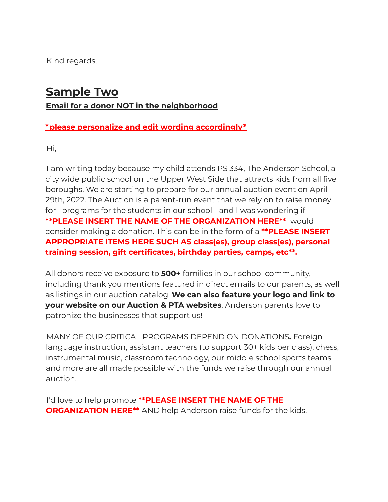Kind regards,

## **Sample Two**

**Email for a donor NOT in the neighborhood**

## **\*please personalize and edit wording accordingly\***

Hi,

I am writing today because my child attends PS 334, The Anderson School, a city wide public school on the Upper West Side that attracts kids from all five boroughs. We are starting to prepare for our annual auction event on April 29th, 2022. The Auction is a parent-run event that we rely on to raise money for programs for the students in our school - and I was wondering if **\*\*PLEASE INSERT THE NAME OF THE ORGANIZATION HERE\*\*** would consider making a donation. This can be in the form of a **\*\*PLEASE INSERT APPROPRIATE ITEMS HERE SUCH AS class(es), group class(es), personal training session, gift certificates, birthday parties, camps, etc\*\*.**

All donors receive exposure to **500+** families in our school community, including thank you mentions featured in direct emails to our parents, as well as listings in our auction catalog. **We can also feature your logo and link to your website on our Auction & PTA websites**. Anderson parents love to patronize the businesses that support us!

MANY OF OUR CRITICAL PROGRAMS DEPEND ON DONATIONS**.** Foreign language instruction, assistant teachers (to support 30+ kids per class), chess, instrumental music, classroom technology, our middle school sports teams and more are all made possible with the funds we raise through our annual auction.

I'd love to help promote **\*\*PLEASE INSERT THE NAME OF THE ORGANIZATION HERE\*\*** AND help Anderson raise funds for the kids.